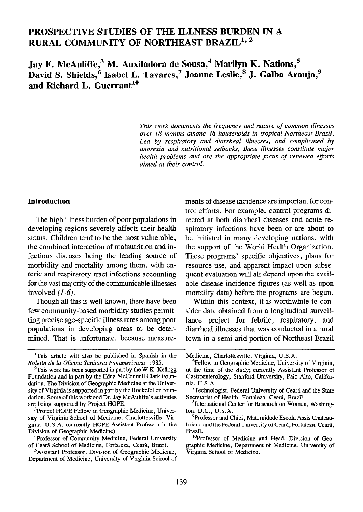# PROSPECTIVE STUDIES OF THE ILLNESS BURDEN IN A RURAL COMMUNITY OF NORTHEAST BRAZIL<sup>1, 2</sup>

Jay F. McAuliffe,<sup>3</sup> M. Auxiladora de Sousa,<sup>4</sup> Marilyn K. Nations,<sup>5</sup> David S. Shields,<sup>6</sup> Isabel L. Tavares,<sup>7</sup> Joanne Leslie,<sup>8</sup> J. Galba Araujo,<sup>9</sup> and Richard L. Guerrant $^{10}$ 

> This work documents the frequency and nature of common illnesses over 18 months among 48 households in tropical Northeast Brazil. Led by respiratory and diarrheal illnesses, and complicated by anorexia and nutritional setbacks, these illnesses constitute major health problems and are the appropriate focus of renewed efforts aimed at their control.

### Introduction

The high illness burden of poor populations in developing regions severely affects their health status. Children tend to be the most vulnerable, the combined interaction of malnutrition and infectious diseases being the leading source of morbidity and mortality among them, with enteric and respiratory tract infections accounting for the vast majority of the communicable illnesses involved  $(1-6)$ .

Though all this is well-known, there have been few community-based morbidity studies permitting precise age-specific illness rates among poor populations in developing areas to be determined. That is unfortunate, because measure-

<sup>3</sup>Project HOPE Fellow in Geographic Medicine, University of Virginia School of Medicine, Charlottesville, Virginia, U.S.A. (currently HOPE Assistant Professor in the Division of Geographic-Medicine).

<sup>4</sup>Professor of Community Medicine, Federal University of Ceara School of Medicine, Fortaleza, Ceara, Brazil.

'Assistant Professor, Division of Geographic Medicine, Department of Medicine, University of Virginia School of ments of disease incidence are important for control efforts. For example, control programs directed at both diarrhea1 diseases and acute respiratory infections have been or are about to be initiated in many developing nations, with the support of the World Health Organization. These programs' specific objectives, plans for resource use, and apparent impact upon subsequent evaluation will all depend upon the available disease incidence figures (as well as upon mortality data) before the programs are begun.

Within this context, it is worthwhile to consider data obtained from a longitudinal surveillance project for febrile, respiratory, and diarrhea1 illnesses that was conducted in a rural town in a semi-arid portion of Northeast Brazil

<sup>&#</sup>x27;This article will also be published in Spanish in the Boletín de la Oficina Sanitaria Panamericana, 1985.

<sup>&</sup>lt;sup>2</sup>This work has been supported in part by the W.K. Kellogg Foundation and in part by the Edna McConnell Clark Foundation. The Division of Geographic Medicine at the University of Virginia is supported in part by the Rockefeller Foundation. Some of this work and Dr. Jay McAuliffe's activities are being supported by Project HOPE.

Medicine, Charlottesville, Virginia, U.S.A.

<sup>6</sup>Fellow in Geographic Medicine, University of Virginia, at the time of the study; currently Assistant Professor of Gastroenterology, Stanford University, Palo Alto, California, U.S.A.

<sup>&</sup>lt;sup>7</sup>Technologist, Federal University of Ceará and the State Secretariat of Health, Fortaleza, Ceará, Brazil.

<sup>&</sup>lt;sup>8</sup>International Center for Research on Women, Washington, D.C., U.S.A.

<sup>&</sup>lt;sup>9</sup>Professor and Chief, Maternidade Escola Assis Chateaubriand and the Federal University of Ceara, Fortaleza, Ceara, Brazil.

<sup>&</sup>lt;sup>10</sup>Professor of Medicine and Head, Division of Geographic Medicine, Department of Medicine, University of Virginia School of Medicine.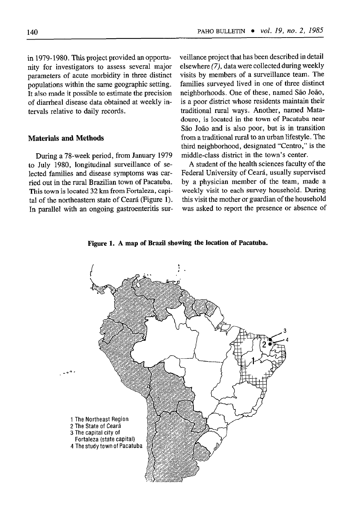in 1979-1980. This project provided an opportunity for investigators to assess several major parameters of acute morbidity in three distinct populations within the same geographic setting. It also made it possible to estimate the precision of diarrhea1 disease data obtained at weekly intervals relative to daily records.

### Materials and Methods

During a 78-week period, from January 1979 to July 1980, longitudinal surveillance of selected families and disease symptoms was carried out in the rural Brazilian town of Pacatuba. This town is located 32 km from Fortaleza, capital of the northeastern state of Ceará (Figure 1). In parallel with an ongoing gastroenteritis surveillance project that has been described in detail elsewhere (7), data were collected during weekly visits by members of a surveillance team. The families surveyed lived in one of three distinct neighborhoods. One of these, named São João, is a poor district whose residents maintain their traditional rural ways. Another, named Matadouro, is located in the town of Pacatuba near São João and is also poor, but is in transition from a traditional rural to an urban lifestyle. The third neighborhood, designated "Centro," is the middle-class district in the town's center.

A student of the health sciences faculty of the Federal University of Ceará, usually supervised by a physician member of the team, made a weekly visit to each survey household. During this visit the mother or guardian of the household was asked to report the presence or absence of



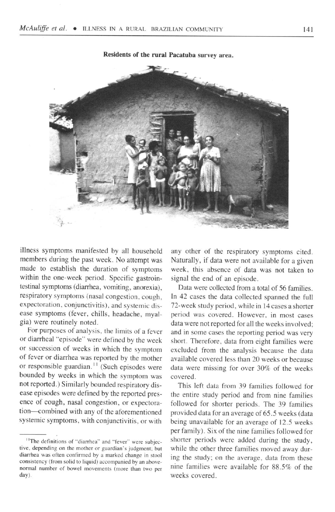

Residents of the rural Pacatuha survey area.

illness symptoms manifested by all household members during the past week. No attempt was made to establish the duration of symptoms within the one-week period. Specific gastrointestinal symptoms (diarrhea, vomiting, anorexia), respiratory symptoms (nasal congestion, cough, expectoration, conjunctivitis), and systemic disease symptoms (fever, chills, headache, myalgia) were routinely noted.

For purposes of analysis, the limits of a fever or diarrhea1 "episode" were defined by the week or succession of weeks in which the symptom of fever or diarrhea was reported by the mother or responsible guardian.<sup>11</sup> (Such episodes were bounded by weeks in which the symptom was not reported.) Similarly bounded respiratory disease episodes were defined by the reported presence of cough, nasal congestion, or expectoration-combined with any of the aforementioned systemic symptoms, with conjunctivitis, or with

any other of the respiratory symptoms cited. Naturally, if data were not available for a given week, this absence of data was not taken to signal the end of an episode.

Data were collected from a total of 56 families. In 42 cases the data collected spanned the full 72-week study period, while in 14 cases a shorter period was covered. However, in most cases data were not reported for all the weeks involved; and in some cases the reporting period was very short. Therefore, data from eight families were excluded from the analysis because the data available covered less than 20 weeks or because data were missing for over 30% of the weeks covered.

This left data from 39 families followed for the entire study period and from nine families followed for shorter periods. The 39 families provided data for an average of 65.5 weeks (data being unavailable for an average of 12.5 weeks per family). Six of the nine families followed for shorter periods were added during the study, while the other three families moved away during the study; on the average, data from these nine families were available for 88.5% of the weeks covered.

<sup>&</sup>lt;sup>11</sup>The definitions of "diarrhea" and "fever" were subjective, depending on the mother or guardian's judgment; but diarrhea was often confirmed by a marked change in stool consistency (from solid to liquid) accompanied by an abovenormal number of bowel movements (more than two per day).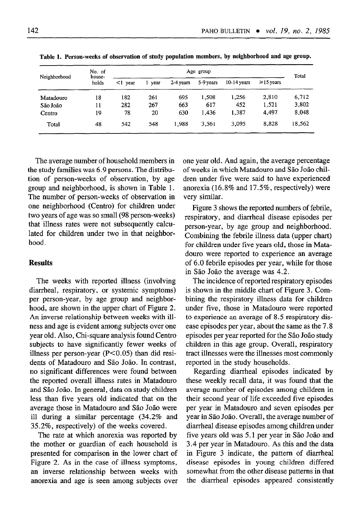| Neighborhood | No. of<br>house-<br>holds | Age group  |      |           |           |               |                 | Total  |
|--------------|---------------------------|------------|------|-----------|-----------|---------------|-----------------|--------|
|              |                           | $<$ 1 year | vear | 2-4 years | 5-9 years | $10-14$ vears | $\geq 15$ years |        |
| Matadouro    | 18                        | 182        | 261  | 695       | 1.508     | 1,256         | 2,810           | 6,712  |
| São João     | 11                        | 282        | 267  | 663       | 617       | 452           | 1.521           | 3.802  |
| Centro       | 19                        | 78         | 20   | 630       | 1.436     | 1,387         | 4.497           | 8,048  |
| Total        | 48                        | 542        | 548  | 1.988     | 3,561     | 3.095         | 8,828           | 18,562 |

Table 1. Person-weeks of observation of study population members, by neighborhood and age group.

The average number of household members in the study families was 6.9 persons. The distribution of person-weeks of observation, by age group and neighborhood, is shown in Table 1. The number of person-weeks of observation in one neighborhood (Centro) for children under two years of age was so small (98 person-weeks) that illness rates were not subsequently calculated for children under two in that neighborhood.

# Results

The weeks with reported illness (involving diarrheal, respiratory, or systemic symptoms) per person-year, by age group and neighborhood, are shown in the upper chart of Figure 2. An inverse relationship between weeks with illness and age is evident among subjects over one year old. Also, Chi-square analysis found Centro subjects to have significantly fewer weeks of illness per person-year  $(P<0.05)$  than did residents of Matadouro and São João. In contrast, no significant differences were found between the reported overall illness rates in Matadouro and São João. In general, data on study children less than five years old indicated that on the average those in Matadouro and São João were ill during a similar percentage (34.2% and 35.2%, respectively) of the weeks covered.

The rate at which anorexia was reported by the mother or guardian of each household is presented for comparison in the lower chart of Figure 2. As in the case of illness symptoms, an inverse relationship between weeks with anorexia and age is seen among subjects over one year old. And again, the average percentage of weeks in which Matadouro and São João children under five were said to have experienced anorexia ( $16.8\%$  and  $17.5\%$ , respectively) were very similar.

Figure 3 shows the reported numbers of febrile, respiratory, and diarrhea1 disease episodes per person-year, by age group and neighborhood. Combining the febrile illness data (upper chart) for children under five years old, those in Matadouro were reported to experience an average of 6.0 febrile episodes per year, while for those in São João the average was 4.2.

The incidence of reported respiratory episodes is shown in the middle chart of Figure 3. Combining the respiratory illness data for children under five, those in Matadouro were reported to experience an average of 8.5 respiratory disease episodes per year, about the same as the 7.8 episodes per year reported for the São João study children in this age group. Overall, respiratory tract illnesses were the illnesses most commonly reported in the study households.

Regarding diarrheal episodes indicated by these weekly recall data, it was found that the average number of episodes among children in their second year of life exceeded five episodes per year in Matadouro and seven episodes per year in São João. Overall, the average number of diarrhea1 disease episodes among children under five years old was 5.1 per year in São João and 3.4 per year in Matadouro. As this and the data in Figure 3 indicate, the pattern of diarrhea1 disease episodes in young children differed somewhat from the other disease patterns in that the diarrhea1 episodes appeared consistently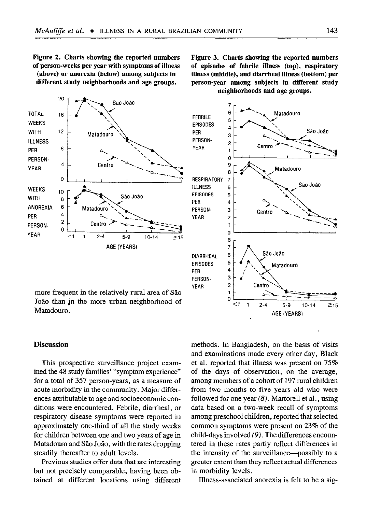Figure 2. Charts showing the reported numbers of person-weeks per year with symptoms of illness (above) or anorexia (below) among subjects in

different study neighborhoods and age groups.



more frequent in the relatively rural area of S&o João than in the more urban neighborhood of Matadouro.

## **Discussion**

This prospective surveillance project examined the 48 study families' "symptom experience" for a total of 357 person-years, as a measure of acute morbidity in the community. Major differences attributable to age and socioeconomic conditions were encountered. Febrile, diarrheal, or respiratory disease symptoms were reported in approximately one-third of all the study weeks for children between one and two years of age in Matadouro and São João, with the rates dropping steadily thereafter to adult levels.

Previous studies offer data that are interesting but not precisely comparable, having been obtained at different locations using different methods. In Bangladesh, on the basis of visits and examinations made every other day, Black et al. reported that illness was present on 75% of the days of observation, on the average, among members of a cohort of 197 rural children from two months to five years old who were followed for one year  $(8)$ . Martorell et al., using data based on a two-week recall of symptoms among preschool children, reported that selected common symptoms were present on 23% of the child-days involved (9). The differences encountered in these rates partly reflect differences in the intensity of the surveillance—possibly to a greater extent than they reflect actual differences in morbidity levels.

Illness-associated anorexia is felt to be a sig-

Figure 3. Charts showing the reported numbers of episodes of febrile illness (top), respiratory illness (middle), and diarrheal illness (bottom) per person-year among subjects in different study neighborhoods and age groups.

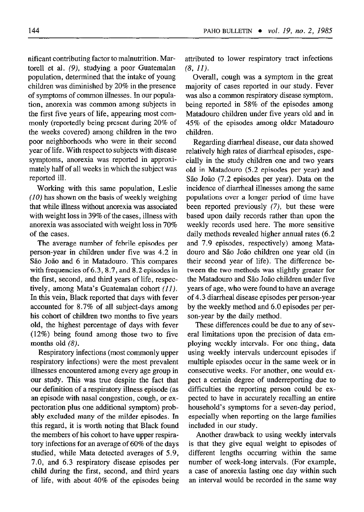nificant contributing factor to malnutrition. Martore11 et al. (9), studying a poor Guatemalan population, determined that the intake of young children was diminished by 20% in the presence of symptoms of common illnesses. In our population, anorexia was common among subjects in the first five years of life, appearing most commonly (reportedly being present during 20% of the weeks covered) among children in the two poor neighborhoods who were in their second year of life. With respect to subjects with disease symptoms, anorexia was reported in approximately half of all weeks in which the subject was reported ill.

Working with this same population, Leslie (10) has shown on the basis of weekly weighing that while illness without anorexia was associated with weight loss in 39% of the cases, illness with anorexia was associated with weight loss in 70% of the cases.

The average number of febrile episodes per person-year in children under five was 4.2 in São João and 6 in Matadouro. This compares with frequencies of 6.3, 8.7, and 8.2 episodes in the first, second, and third years of life, respectively, among Mata's Guatemalan cohort (II). In this vein, Black reported that days with fever accounted for 8.7% of all subject-days among his cohort of children two months to five years old, the highest percentage of days with fever (12%) being found among those two to five months old (8).

Respiratory infections (most commonly upper respiratory infections) were the most prevalent illnesses encountered among every age group in our study. This was true despite the fact that our definition of a respiratory illness episode (as an episode with nasal congestion, cough, or expectoration plus one additional symptom) probably excluded many of the milder episodes. In this regard, it is worth noting that Black found the members of his cohort to have upper respiratory infections for an average of 60% of the days studied, while Mata detected averages of 5.9, 7.0, and 6.3 respiratory disease episodes per child during the first, second, and third years of life, with about 40% of the episodes being attributed to lower respiratory tract infections  $(8, 11)$ .

Overall, cough was a symptom in the great majority of cases reported in our study. Fever was also a common respiratory disease symptom, being reported in 58% of the episodes among Matadouro children under five years old and in 45% of the episodes among older Matadouro children.

Regarding diarrhea1 disease, our data showed relatively high rates of diarrhea1 episodes, especially in the study children one and two years old in Matadouro (5.2 episodes per year) and São João (7.2 episodes per year). Data on the incidence of diarrheal illnesses among the same populations over a longer period of time have been reported previously (7), but these were based upon daily records rather than upon the weekly records used here. The more sensitive daily methods revealed higher annual rates (6.2 and 7.9 episodes, respectively) among Matadouro and Sao Joao children one year old (in their second year of life). The difference between the two methods was slightly greater for the Matadouro and Sao Jogo children under five years of age, who were found to have an average of 4.3 diarrhea1 disease episodes per person-year by the weekly method and 6.0 episodes per person-year by the daily method.

These differences could be due to any of several limitations upon the precision of data employing weekly intervals. For one thing, data using weekly intervals undercount episodes if multiple episodes occur in the same week or in consecutive weeks. For another, one would expect a certain degree of underreporting due to difficulties the reporting person could be expected to have in accurately recalling an entire household's symptoms for a seven-day period, especially when reporting on the large families included in our study.

Another drawback to using weekly intervals is that they give equal weight to episodes of different lengths occurring within the same number of week-long intervals. (For example, a case of anorexia lasting one day within such an interval would be recorded in the same way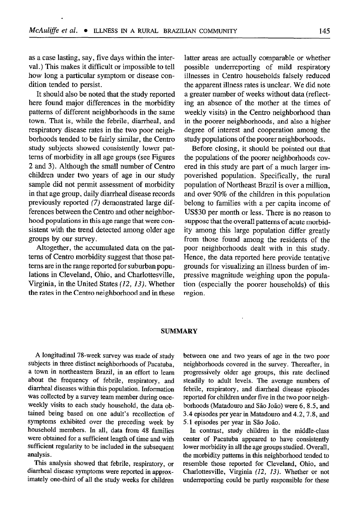as a case lasting, say, five days witbin the interval.) This makes it difficult or impossible to tell how long a particular symptom or disease condition tended to persist.

It should also be noted that the study reported here found major differences in the morbidity patterns of different neighborhoods in the same town. That is, while the febrile, diarrheal, and respiratory disease rates in the two poor neighborhoods tended to be fairly similar, the Centro study subjects showed consistently lower patterns of morbidity in all age groups (see Figures 2 and 3). Although the small number of Centro children under two years of age in our study sample did not permit assessment of morbidity in that age group, daily diarrheal disease records previously reported (7) demonstrated large differences between the Centro and other neighborhood populations in this age range that were consistent with the trend detected among older age groups by our survey.

Altogether, the accumulated data on the patterns of Centro morbidity suggest that those patterns are in the range reported for suburban populations in Cleveland, Ohio, and Charlottesville, Virginia, in the United States (12, 13). Whether the rates in the Centro neighborhood and in these

latter areas are actually comparable or whether possible underreporting of mild respiratory illnesses in Centro households falsely reduced the apparent illness rates is unclear. We did note a greater number of weeks without data (reflecting an absence of the mother at the times of weekly visits) in the Centro neighborhood than in the poorer neighborhoods, and also a higher degree of interest and cooperation among the study populations of the poorer neighborboods.

Before closing, it should be pointed out that the populations of the poorer neighborhoods covered in this study are part of a much larger impoverished population. Specifically, the rural population of Northeast Brazil is over a million, and over 90% of the children in this population belong to families with a per capita income of USS30 per month or less. There is no reason to suppose that the overall patterns of acute morbidity among this large population differ greatly from those found among the residents of the poor neighborhoods dealt with in this study. Hence, the data reported here provide tentative grounds for visualizing an illness burden of impressive magnitude weighing upon the population (especially the poorer households) of this region.

#### SUMMARY

A longitudinal 78-week survey was made of study subjects in three distinct neighborhoods of Pacatuba, a town in northeastern Brazil, in an effort to learn about the frequency of febrile, respiratory, and diarrheal diseases within this population. Information was collected by a survey team member during onceweekly visits to each study household, the data obtained being based on one adult's recollection of symptoms exhibited over the preceding week by household members. In all, data from 48 families were obtained for a sufficient length of time and with sufficient regularity to be included in the subsequent analysis.

This analysis showed that febrile, respiratory, or diarrheal disease symptoms were reported in approximately one-third of all the study weeks for children between one and two years of age in the two poor neighborhoods covered in the survey. Thereafter, in progressively older age groups, this rate declined steadily to adult levels. The average numbers of febrile, respiratory, and diarrhea1 disease episodes reported for children under five in the two poor neighborhoods (Matadouro and São João) were 6, 8.5, and 3.4 episodes per year in Matadouro and 4.2,7.8, and 5.1 episodes per year in São João.

In contrast, study children in the middle-class center of Pacatuba appeared to have consistently lower morbidity in all the age groups studied. Overall, the morbidity patterns in this neighborhood tended to resemble those reported for Cleveland, Ohio, and Charlottesville, Virginia (12, 13). Whether or not underreporting could be partly responsible for these